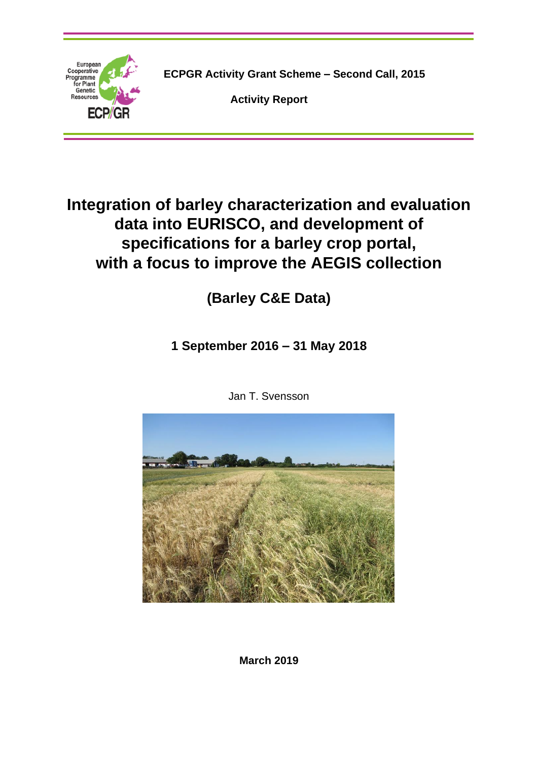

**ECPGR Activity Grant Scheme – Second Call, 2015**

**Activity Report**

# **Integration of barley characterization and evaluation data into EURISCO, and development of specifications for a barley crop portal, with a focus to improve the AEGIS collection**

**(Barley C&E Data)**

**1 September 2016 – 31 May 2018**



Jan T. Svensson

**March 2019**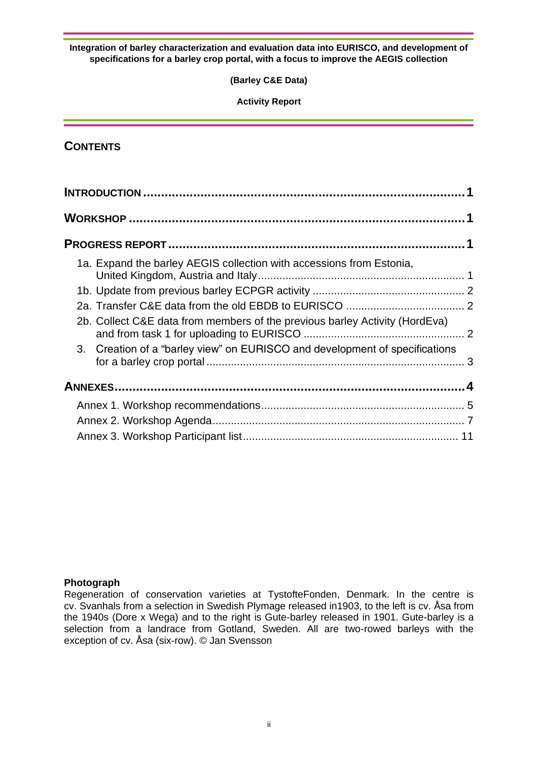**(Barley C&E Data)**

**Activity Report**

## **CONTENTS**

|  | 1a. Expand the barley AEGIS collection with accessions from Estonia,        |  |
|--|-----------------------------------------------------------------------------|--|
|  |                                                                             |  |
|  |                                                                             |  |
|  | 2b. Collect C&E data from members of the previous barley Activity (HordEva) |  |
|  | 3. Creation of a "barley view" on EURISCO and development of specifications |  |
|  |                                                                             |  |
|  |                                                                             |  |
|  |                                                                             |  |
|  |                                                                             |  |

#### **Photograph**

Regeneration of conservation varieties at TystofteFonden, Denmark. In the centre is cv. Svanhals from a selection in Swedish Plymage released in1903, to the left is cv. Åsa from the 1940s (Dore x Wega) and to the right is Gute-barley released in 1901. Gute-barley is a selection from a landrace from Gotland, Sweden. All are two-rowed barleys with the exception of cv. Åsa (six-row). © Jan Svensson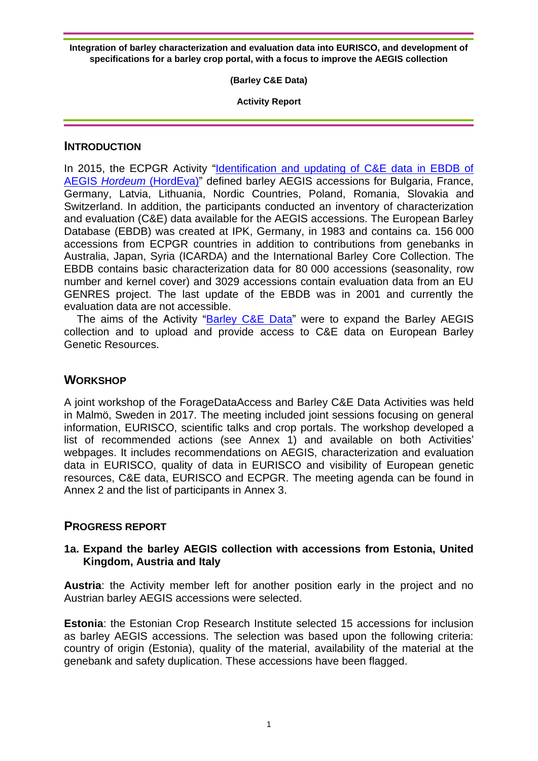**(Barley C&E Data)**

**Activity Report**

## **INTRODUCTION**

In 2015, the ECPGR Activity ["Identification and updating of C&E data in EBDB of](http://www.ecpgr.cgiar.org/working-groups/barley/hordeva/)  AEGIS *Hordeum* [\(HordEva\)"](http://www.ecpgr.cgiar.org/working-groups/barley/hordeva/) defined barley AEGIS accessions for Bulgaria, France, Germany, Latvia, Lithuania, Nordic Countries, Poland, Romania, Slovakia and Switzerland. In addition, the participants conducted an inventory of characterization and evaluation (C&E) data available for the AEGIS accessions. The European Barley Database (EBDB) was created at IPK, Germany, in 1983 and contains ca. 156 000 accessions from ECPGR countries in addition to contributions from genebanks in Australia, Japan, Syria (ICARDA) and the International Barley Core Collection. The EBDB contains basic characterization data for 80 000 accessions (seasonality, row number and kernel cover) and 3029 accessions contain evaluation data from an EU GENRES project. The last update of the EBDB was in 2001 and currently the evaluation data are not accessible.

The aims of the Activity "**Barley C&E Data**" were to expand the Barley AEGIS collection and to upload and provide access to C&E data on European Barley Genetic Resources.

## **WORKSHOP**

A joint workshop of the ForageDataAccess and Barley C&E Data Activities was held in Malmö, Sweden in 2017. The meeting included joint sessions focusing on general information, EURISCO, scientific talks and crop portals. The workshop developed a list of recommended actions (see Annex 1) and available on both Activities' webpages. It includes recommendations on AEGIS, characterization and evaluation data in EURISCO, quality of data in EURISCO and visibility of European genetic resources, C&E data, EURISCO and ECPGR. The meeting agenda can be found in Annex 2 and the list of participants in Annex 3.

## **PROGRESS REPORT**

## **1a. Expand the barley AEGIS collection with accessions from Estonia, United Kingdom, Austria and Italy**

**Austria**: the Activity member left for another position early in the project and no Austrian barley AEGIS accessions were selected.

**Estonia**: the Estonian Crop Research Institute selected 15 accessions for inclusion as barley AEGIS accessions. The selection was based upon the following criteria: country of origin (Estonia), quality of the material, availability of the material at the genebank and safety duplication. These accessions have been flagged.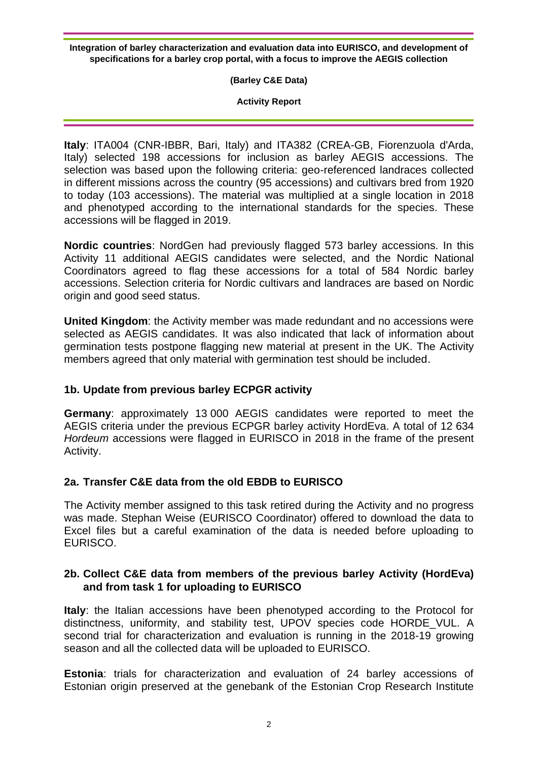**(Barley C&E Data)**

**Activity Report**

**Italy**: ITA004 (CNR-IBBR, Bari, Italy) and ITA382 (CREA-GB, Fiorenzuola d'Arda, Italy) selected 198 accessions for inclusion as barley AEGIS accessions. The selection was based upon the following criteria: geo-referenced landraces collected in different missions across the country (95 accessions) and cultivars bred from 1920 to today (103 accessions). The material was multiplied at a single location in 2018 and phenotyped according to the international standards for the species. These accessions will be flagged in 2019.

**Nordic countries**: NordGen had previously flagged 573 barley accessions. In this Activity 11 additional AEGIS candidates were selected, and the Nordic National Coordinators agreed to flag these accessions for a total of 584 Nordic barley accessions. Selection criteria for Nordic cultivars and landraces are based on Nordic origin and good seed status.

**United Kingdom**: the Activity member was made redundant and no accessions were selected as AEGIS candidates. It was also indicated that lack of information about germination tests postpone flagging new material at present in the UK. The Activity members agreed that only material with germination test should be included.

## **1b. Update from previous barley ECPGR activity**

**Germany**: approximately 13 000 AEGIS candidates were reported to meet the AEGIS criteria under the previous ECPGR barley activity HordEva. A total of 12 634 *Hordeum* accessions were flagged in EURISCO in 2018 in the frame of the present Activity.

## **2a. Transfer C&E data from the old EBDB to EURISCO**

The Activity member assigned to this task retired during the Activity and no progress was made. Stephan Weise (EURISCO Coordinator) offered to download the data to Excel files but a careful examination of the data is needed before uploading to EURISCO.

## **2b. Collect C&E data from members of the previous barley Activity (HordEva) and from task 1 for uploading to EURISCO**

**Italy**: the Italian accessions have been phenotyped according to the Protocol for distinctness, uniformity, and stability test, UPOV species code HORDE\_VUL. A second trial for characterization and evaluation is running in the 2018-19 growing season and all the collected data will be uploaded to EURISCO.

**Estonia**: trials for characterization and evaluation of 24 barley accessions of Estonian origin preserved at the genebank of the Estonian Crop Research Institute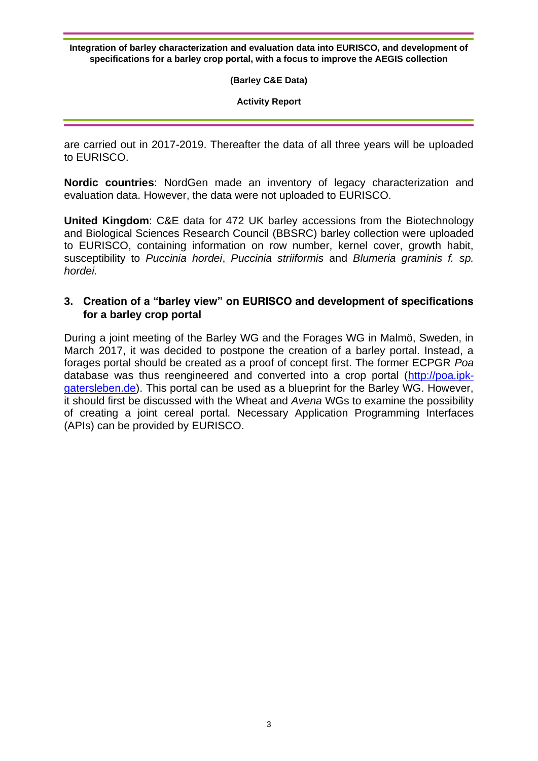**(Barley C&E Data)**

**Activity Report**

are carried out in 2017-2019. Thereafter the data of all three years will be uploaded to EURISCO.

**Nordic countries**: NordGen made an inventory of legacy characterization and evaluation data. However, the data were not uploaded to EURISCO.

**United Kingdom**: C&E data for 472 UK barley accessions from the Biotechnology and Biological Sciences Research Council (BBSRC) barley collection were uploaded to EURISCO, containing information on row number, kernel cover, growth habit, susceptibility to *Puccinia hordei*, *Puccinia striiformis* and *Blumeria graminis f. sp. hordei.*

#### **3. Creation of a "barley view" on EURISCO and development of specifications for a barley crop portal**

During a joint meeting of the Barley WG and the Forages WG in Malmö, Sweden, in March 2017, it was decided to postpone the creation of a barley portal. Instead, a forages portal should be created as a proof of concept first. The former ECPGR *Poa* database was thus reengineered and converted into a crop portal [\(http://poa.ipk](http://poa.ipk-gatersleben.de/)[gatersleben.de\)](http://poa.ipk-gatersleben.de/). This portal can be used as a blueprint for the Barley WG. However, it should first be discussed with the Wheat and *Avena* WGs to examine the possibility of creating a joint cereal portal. Necessary Application Programming Interfaces (APIs) can be provided by EURISCO.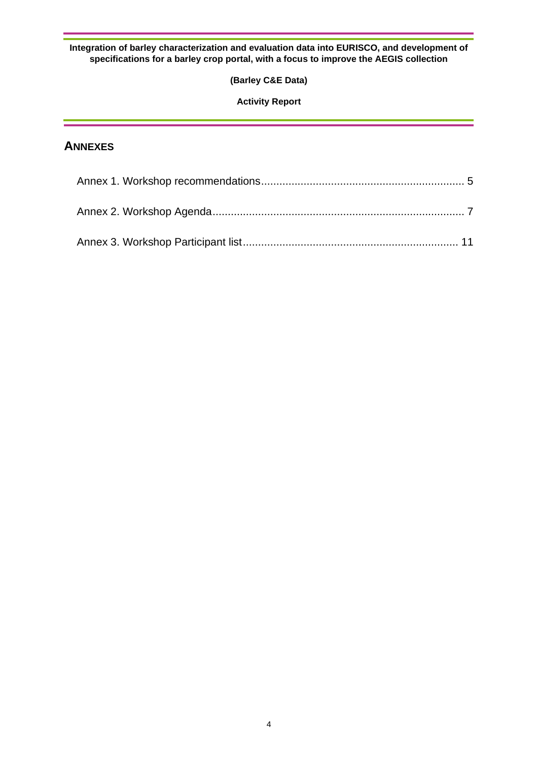#### **(Barley C&E Data)**

#### **Activity Report**

## **ANNEXES**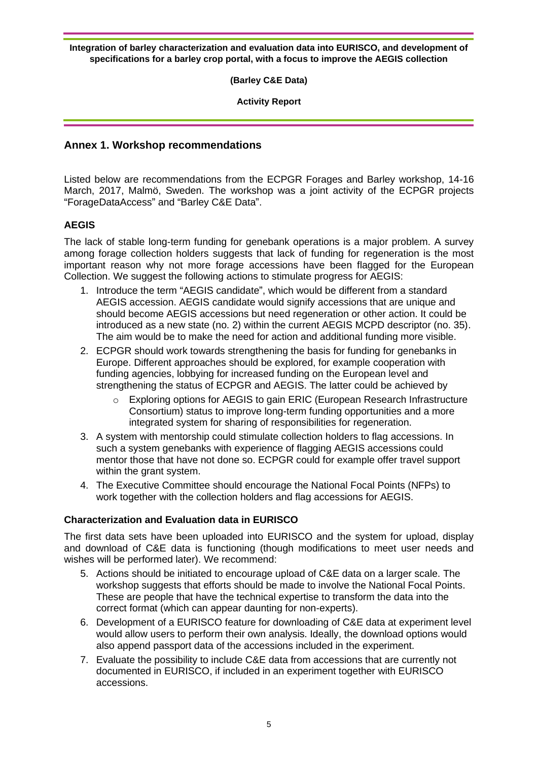**(Barley C&E Data)**

**Activity Report**

#### <span id="page-6-0"></span>**Annex 1. Workshop recommendations**

Listed below are recommendations from the ECPGR Forages and Barley workshop, 14-16 March, 2017, Malmö, Sweden. The workshop was a joint activity of the ECPGR projects "ForageDataAccess" and "Barley C&E Data".

#### **AEGIS**

The lack of stable long-term funding for genebank operations is a major problem. A survey among forage collection holders suggests that lack of funding for regeneration is the most important reason why not more forage accessions have been flagged for the European Collection. We suggest the following actions to stimulate progress for AEGIS:

- 1. Introduce the term "AEGIS candidate", which would be different from a standard AEGIS accession. AEGIS candidate would signify accessions that are unique and should become AEGIS accessions but need regeneration or other action. It could be introduced as a new state (no. 2) within the current AEGIS MCPD descriptor (no. 35). The aim would be to make the need for action and additional funding more visible.
- 2. ECPGR should work towards strengthening the basis for funding for genebanks in Europe. Different approaches should be explored, for example cooperation with funding agencies, lobbying for increased funding on the European level and strengthening the status of ECPGR and AEGIS. The latter could be achieved by
	- o Exploring options for AEGIS to gain ERIC (European Research Infrastructure Consortium) status to improve long-term funding opportunities and a more integrated system for sharing of responsibilities for regeneration.
- 3. A system with mentorship could stimulate collection holders to flag accessions. In such a system genebanks with experience of flagging AEGIS accessions could mentor those that have not done so. ECPGR could for example offer travel support within the grant system.
- 4. The Executive Committee should encourage the National Focal Points (NFPs) to work together with the collection holders and flag accessions for AEGIS.

#### **Characterization and Evaluation data in EURISCO**

The first data sets have been uploaded into EURISCO and the system for upload, display and download of C&E data is functioning (though modifications to meet user needs and wishes will be performed later). We recommend:

- 5. Actions should be initiated to encourage upload of C&E data on a larger scale. The workshop suggests that efforts should be made to involve the National Focal Points. These are people that have the technical expertise to transform the data into the correct format (which can appear daunting for non-experts).
- 6. Development of a EURISCO feature for downloading of C&E data at experiment level would allow users to perform their own analysis. Ideally, the download options would also append passport data of the accessions included in the experiment.
- 7. Evaluate the possibility to include C&E data from accessions that are currently not documented in EURISCO, if included in an experiment together with EURISCO accessions.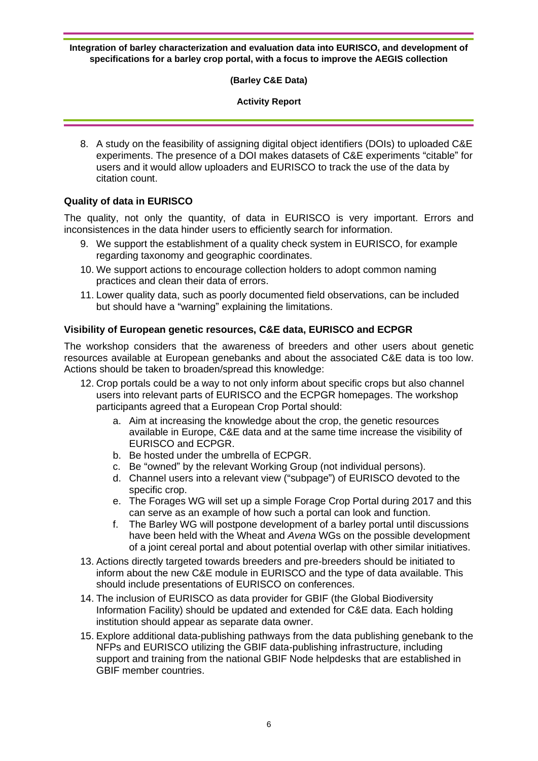#### **(Barley C&E Data)**

#### **Activity Report**

8. A study on the feasibility of assigning digital object identifiers (DOIs) to uploaded C&E experiments. The presence of a DOI makes datasets of C&E experiments "citable" for users and it would allow uploaders and EURISCO to track the use of the data by citation count.

#### **Quality of data in EURISCO**

The quality, not only the quantity, of data in EURISCO is very important. Errors and inconsistences in the data hinder users to efficiently search for information.

- 9. We support the establishment of a quality check system in EURISCO, for example regarding taxonomy and geographic coordinates.
- 10. We support actions to encourage collection holders to adopt common naming practices and clean their data of errors.
- 11. Lower quality data, such as poorly documented field observations, can be included but should have a "warning" explaining the limitations.

#### **Visibility of European genetic resources, C&E data, EURISCO and ECPGR**

The workshop considers that the awareness of breeders and other users about genetic resources available at European genebanks and about the associated C&E data is too low. Actions should be taken to broaden/spread this knowledge:

- 12. Crop portals could be a way to not only inform about specific crops but also channel users into relevant parts of EURISCO and the ECPGR homepages. The workshop participants agreed that a European Crop Portal should:
	- a. Aim at increasing the knowledge about the crop, the genetic resources available in Europe, C&E data and at the same time increase the visibility of EURISCO and ECPGR.
	- b. Be hosted under the umbrella of ECPGR.
	- c. Be "owned" by the relevant Working Group (not individual persons).
	- d. Channel users into a relevant view ("subpage") of EURISCO devoted to the specific crop.
	- e. The Forages WG will set up a simple Forage Crop Portal during 2017 and this can serve as an example of how such a portal can look and function.
	- f. The Barley WG will postpone development of a barley portal until discussions have been held with the Wheat and *Avena* WGs on the possible development of a joint cereal portal and about potential overlap with other similar initiatives.
- 13. Actions directly targeted towards breeders and pre-breeders should be initiated to inform about the new C&E module in EURISCO and the type of data available. This should include presentations of EURISCO on conferences.
- 14. The inclusion of EURISCO as data provider for GBIF (the Global Biodiversity Information Facility) should be updated and extended for C&E data. Each holding institution should appear as separate data owner.
- 15. Explore additional data-publishing pathways from the data publishing genebank to the NFPs and EURISCO utilizing the GBIF data-publishing infrastructure, including support and training from the national GBIF Node helpdesks that are established in GBIF member countries.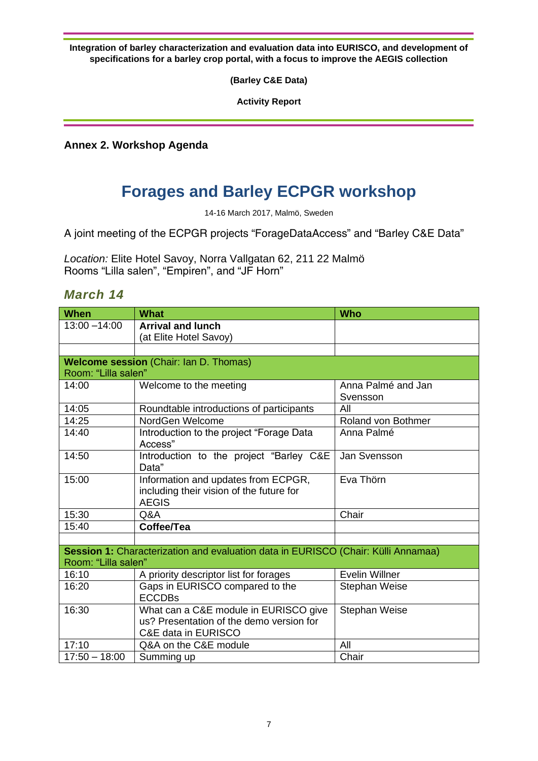**(Barley C&E Data)**

**Activity Report**

<span id="page-8-0"></span>**Annex 2. Workshop Agenda**

# **Forages and Barley ECPGR workshop**

14-16 March 2017, Malmö, Sweden

A joint meeting of the ECPGR projects "ForageDataAccess" and "Barley C&E Data"

*Location:* Elite Hotel Savoy, Norra Vallgatan 62, 211 22 Malmö Rooms "Lilla salen", "Empiren", and "JF Horn"

## *March 14*

| <b>When</b>                                                  | <b>What</b>                                                                                     | <b>Who</b>           |  |  |  |
|--------------------------------------------------------------|-------------------------------------------------------------------------------------------------|----------------------|--|--|--|
| $13:00 - 14:00$                                              | <b>Arrival and lunch</b>                                                                        |                      |  |  |  |
|                                                              | (at Elite Hotel Savoy)                                                                          |                      |  |  |  |
|                                                              |                                                                                                 |                      |  |  |  |
|                                                              | Welcome session (Chair: Ian D. Thomas)                                                          |                      |  |  |  |
|                                                              | Room: "Lilla salen"                                                                             |                      |  |  |  |
| 14:00<br>Welcome to the meeting                              |                                                                                                 | Anna Palmé and Jan   |  |  |  |
|                                                              |                                                                                                 | Svensson             |  |  |  |
| 14:05                                                        | Roundtable introductions of participants                                                        | All                  |  |  |  |
| 14:25                                                        | NordGen Welcome                                                                                 | Roland von Bothmer   |  |  |  |
| Introduction to the project "Forage Data<br>14:40<br>Access" |                                                                                                 | Anna Palmé           |  |  |  |
| 14:50                                                        | Introduction to the project "Barley C&E<br>Data"                                                | Jan Svensson         |  |  |  |
| 15:00                                                        | Information and updates from ECPGR,<br>including their vision of the future for<br><b>AEGIS</b> | Eva Thörn            |  |  |  |
| 15:30<br>Q&A                                                 |                                                                                                 | Chair                |  |  |  |
| 15:40                                                        | Coffee/Tea                                                                                      |                      |  |  |  |
|                                                              |                                                                                                 |                      |  |  |  |
|                                                              | Session 1: Characterization and evaluation data in EURISCO (Chair: Külli Annamaa)               |                      |  |  |  |
| Room: "Lilla salen"                                          |                                                                                                 |                      |  |  |  |
| 16:10                                                        | A priority descriptor list for forages                                                          | Evelin Willner       |  |  |  |
| 16:20                                                        | Gaps in EURISCO compared to the                                                                 | <b>Stephan Weise</b> |  |  |  |
|                                                              | <b>ECCDBs</b>                                                                                   |                      |  |  |  |
| 16:30                                                        | What can a C&E module in EURISCO give                                                           | <b>Stephan Weise</b> |  |  |  |
|                                                              | us? Presentation of the demo version for                                                        |                      |  |  |  |
|                                                              | C&E data in EURISCO                                                                             |                      |  |  |  |
| 17:10                                                        | Q&A on the C&E module                                                                           | All                  |  |  |  |
| $17:50 - 18:00$                                              | Summing up                                                                                      | Chair                |  |  |  |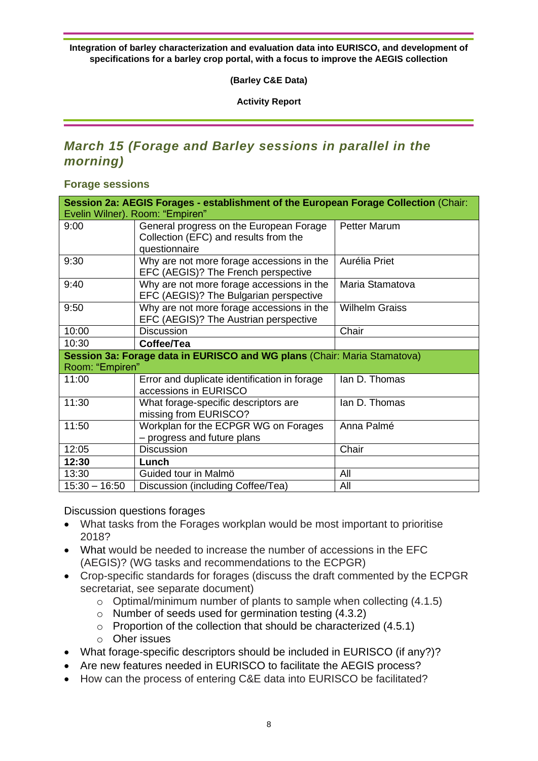**(Barley C&E Data)**

**Activity Report**

## *March 15 (Forage and Barley sessions in parallel in the morning)*

**Forage sessions**

| Session 2a: AEGIS Forages - establishment of the European Forage Collection (Chair:         |                                                                                                   |                       |  |  |
|---------------------------------------------------------------------------------------------|---------------------------------------------------------------------------------------------------|-----------------------|--|--|
| Evelin Wilner). Room: "Empiren"                                                             |                                                                                                   |                       |  |  |
| 9:00                                                                                        | General progress on the European Forage<br>Collection (EFC) and results from the<br>questionnaire | <b>Petter Marum</b>   |  |  |
| 9:30                                                                                        | Why are not more forage accessions in the<br>EFC (AEGIS)? The French perspective                  | Aurélia Priet         |  |  |
| 9:40                                                                                        | Why are not more forage accessions in the<br>EFC (AEGIS)? The Bulgarian perspective               | Maria Stamatova       |  |  |
| Why are not more forage accessions in the<br>9:50<br>EFC (AEGIS)? The Austrian perspective  |                                                                                                   | <b>Wilhelm Graiss</b> |  |  |
| 10:00<br><b>Discussion</b>                                                                  |                                                                                                   | Chair                 |  |  |
| 10:30                                                                                       | Coffee/Tea                                                                                        |                       |  |  |
| Session 3a: Forage data in EURISCO and WG plans (Chair: Maria Stamatova)<br>Room: "Empiren" |                                                                                                   |                       |  |  |
| 11:00                                                                                       | Error and duplicate identification in forage<br>accessions in EURISCO                             | lan D. Thomas         |  |  |
| 11:30                                                                                       | What forage-specific descriptors are<br>missing from EURISCO?                                     | lan D. Thomas         |  |  |
| 11:50                                                                                       | Workplan for the ECPGR WG on Forages<br>- progress and future plans                               | Anna Palmé            |  |  |
| 12:05                                                                                       | <b>Discussion</b>                                                                                 | Chair                 |  |  |
| 12:30                                                                                       | Lunch                                                                                             |                       |  |  |
| 13:30                                                                                       | Guided tour in Malmö                                                                              | All                   |  |  |
| $15:30 - 16:50$                                                                             | Discussion (including Coffee/Tea)                                                                 | All                   |  |  |

Discussion questions forages

- What tasks from the Forages workplan would be most important to prioritise 2018?
- What would be needed to increase the number of accessions in the EFC (AEGIS)? (WG tasks and recommendations to the ECPGR)
- Crop-specific standards for forages (discuss the draft commented by the ECPGR secretariat, see separate document)
	- $\circ$  Optimal/minimum number of plants to sample when collecting (4.1.5)
	- o Number of seeds used for germination testing (4.3.2)
	- $\circ$  Proportion of the collection that should be characterized (4.5.1)
	- o Oher issues
- What forage-specific descriptors should be included in EURISCO (if any?)?
- Are new features needed in EURISCO to facilitate the AEGIS process?
- How can the process of entering C&E data into EURISCO be facilitated?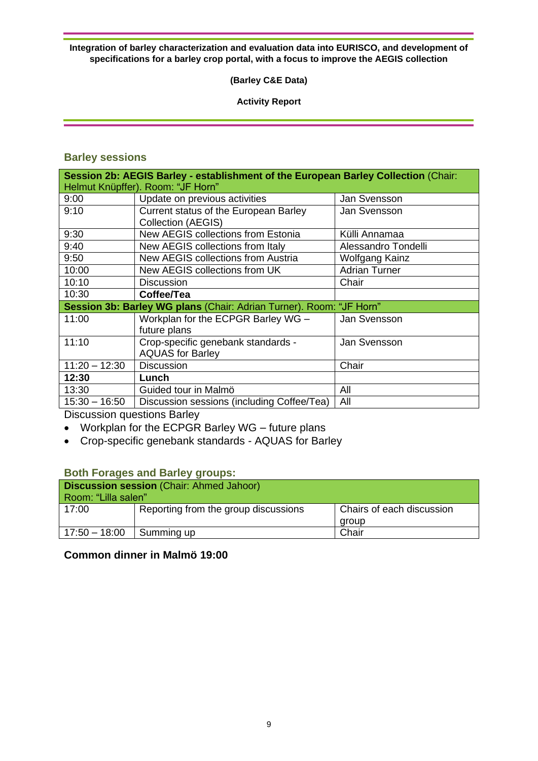#### **(Barley C&E Data)**

#### **Activity Report**

## **Barley sessions**

| Session 2b: AEGIS Barley - establishment of the European Barley Collection (Chair:<br>Helmut Knüpffer). Room: "JF Horn" |                                                                    |                      |  |  |
|-------------------------------------------------------------------------------------------------------------------------|--------------------------------------------------------------------|----------------------|--|--|
| 9:00                                                                                                                    | Update on previous activities                                      | Jan Svensson         |  |  |
| 9:10                                                                                                                    | Current status of the European Barley<br><b>Collection (AEGIS)</b> | Jan Svensson         |  |  |
| 9:30                                                                                                                    | New AEGIS collections from Estonia                                 | Külli Annamaa        |  |  |
| 9:40                                                                                                                    | New AEGIS collections from Italy                                   | Alessandro Tondelli  |  |  |
| 9:50                                                                                                                    | <b>New AEGIS collections from Austria</b>                          | Wolfgang Kainz       |  |  |
| 10:00                                                                                                                   | New AEGIS collections from UK                                      | <b>Adrian Turner</b> |  |  |
| 10:10                                                                                                                   | <b>Discussion</b>                                                  | Chair                |  |  |
| 10:30                                                                                                                   | Coffee/Tea                                                         |                      |  |  |
| Session 3b: Barley WG plans (Chair: Adrian Turner). Room: "JF Horn"                                                     |                                                                    |                      |  |  |
| 11:00                                                                                                                   | Workplan for the ECPGR Barley WG -<br>future plans                 | Jan Svensson         |  |  |
| 11:10                                                                                                                   | Crop-specific genebank standards -<br><b>AQUAS for Barley</b>      | Jan Svensson         |  |  |
| $11:20 - 12:30$                                                                                                         | <b>Discussion</b>                                                  | Chair                |  |  |
| 12:30                                                                                                                   | Lunch                                                              |                      |  |  |
| 13:30                                                                                                                   | Guided tour in Malmö                                               | All                  |  |  |
| $15:30 - 16:50$                                                                                                         | Discussion sessions (including Coffee/Tea)                         | All                  |  |  |

Discussion questions Barley

- Workplan for the ECPGR Barley WG future plans
- Crop-specific genebank standards AQUAS for Barley

#### **Both Forages and Barley groups:**

| <b>Discussion session</b> (Chair: Ahmed Jahoor) |                                      |                           |  |
|-------------------------------------------------|--------------------------------------|---------------------------|--|
| Room: "Lilla salen"                             |                                      |                           |  |
| 17:00                                           | Reporting from the group discussions | Chairs of each discussion |  |
|                                                 |                                      | group                     |  |
| $17:50 - 18:00$                                 | Summing up                           | Chair                     |  |

## **Common dinner in Malmö 19:00**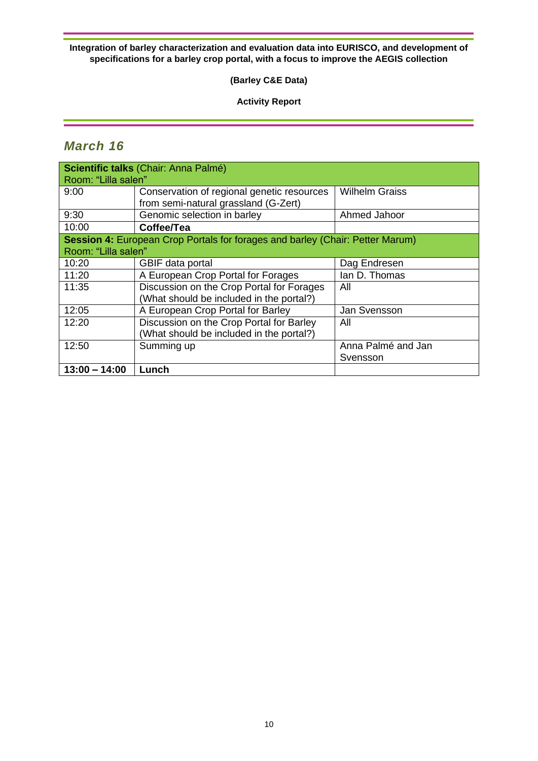#### **(Barley C&E Data)**

#### **Activity Report**

## *March 16*

| Scientific talks (Chair: Anna Palmé) |                                                                               |                       |  |
|--------------------------------------|-------------------------------------------------------------------------------|-----------------------|--|
| Room: "Lilla salen"                  |                                                                               |                       |  |
| 9:00                                 | Conservation of regional genetic resources                                    | <b>Wilhelm Graiss</b> |  |
|                                      | from semi-natural grassland (G-Zert)                                          |                       |  |
| 9:30                                 | Genomic selection in barley                                                   | Ahmed Jahoor          |  |
| 10:00                                | Coffee/Tea                                                                    |                       |  |
|                                      | Session 4: European Crop Portals for forages and barley (Chair: Petter Marum) |                       |  |
| Room: "Lilla salen"                  |                                                                               |                       |  |
| 10:20                                | GBIF data portal                                                              | Dag Endresen          |  |
| 11:20                                | A European Crop Portal for Forages                                            | lan D. Thomas         |  |
| 11:35                                | Discussion on the Crop Portal for Forages                                     | All                   |  |
|                                      | (What should be included in the portal?)                                      |                       |  |
| 12:05                                | A European Crop Portal for Barley                                             | Jan Svensson          |  |
| 12:20                                | Discussion on the Crop Portal for Barley                                      | All                   |  |
|                                      | (What should be included in the portal?)                                      |                       |  |
| 12:50                                | Summing up                                                                    | Anna Palmé and Jan    |  |
|                                      |                                                                               | Svensson              |  |
| $13:00 - 14:00$                      | Lunch                                                                         |                       |  |